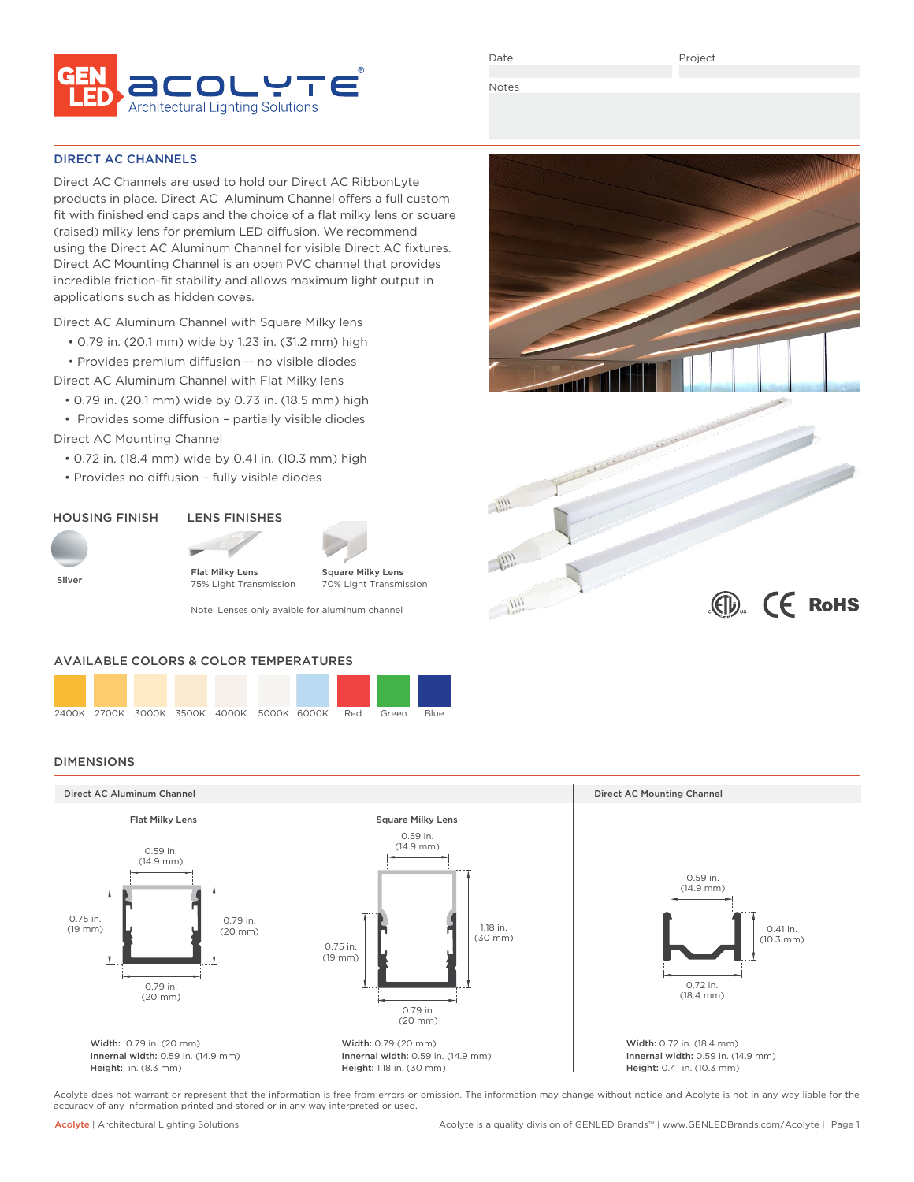

Date

 $\mathbb{C}$   $\mathbb{C}$  RoHS

Notes

 $\frac{1111}{1111}$ 

 $\mathcal{A}^{\text{III}}_{\mu\nu}$ 

 $\frac{1}{2}$ 

### DIRECT AC CHANNELS

Direct AC Channels are used to hold our Direct AC RibbonLyte products in place. Direct AC Aluminum Channel offers a full custom fit with finished end caps and the choice of a flat milky lens or square (raised) milky lens for premium LED diffusion. We recommend using the Direct AC Aluminum Channel for visible Direct AC fixtures. Direct AC Mounting Channel is an open PVC channel that provides incredible friction-fit stability and allows maximum light output in applications such as hidden coves.

Direct AC Aluminum Channel with Square Milky lens

- 0.79 in. (20.1 mm) wide by 1.23 in. (31.2 mm) high
- Provides premium diffusion -- no visible diodes
- Direct AC Aluminum Channel with Flat Milky lens
	- 0.79 in. (20.1 mm) wide by 0.73 in. (18.5 mm) high

 • Provides some diffusion – partially visible diodes Direct AC Mounting Channel

- 0.72 in. (18.4 mm) wide by 0.41 in. (10.3 mm) high
- Provides no diffusion fully visible diodes

# HOUSING FINISH



Flat Milky Lens



Square Milky Lens 70% Light Transmission 75% Light Transmission

Note: Lenses only avaible for aluminum channel

### AVAILABLE COLORS & COLOR TEMPERATURES



# DIMENSIONS



Acolyte does not warrant or represent that the information is free from errors or omission. The information may change without notice and Acolyte is not in any way liable for the accuracy of any information printed and stored or in any way interpreted or used.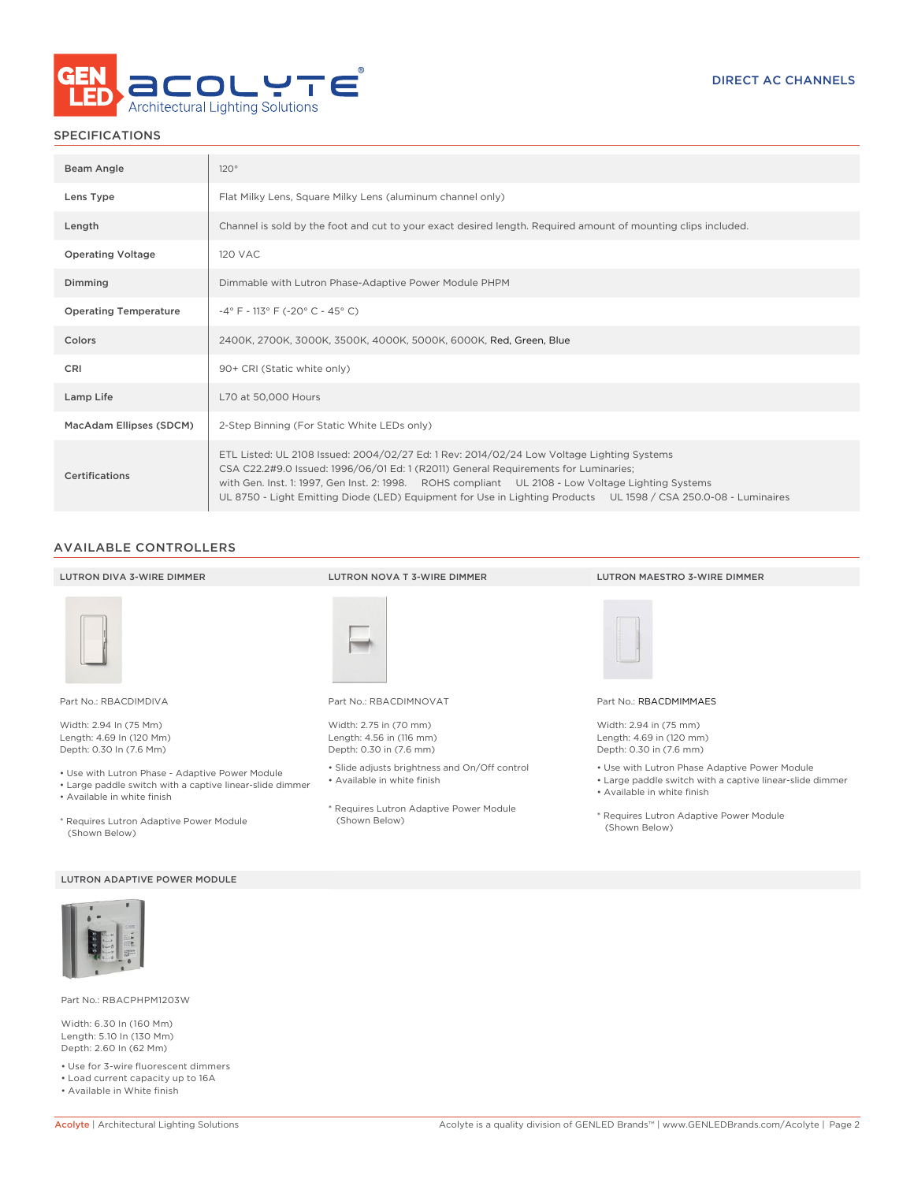

# SPECIFICATIONS

| Beam Angle                   | 120°                                                                                                                                                                                                                                                                                                                                                                                                     |  |  |  |  |  |
|------------------------------|----------------------------------------------------------------------------------------------------------------------------------------------------------------------------------------------------------------------------------------------------------------------------------------------------------------------------------------------------------------------------------------------------------|--|--|--|--|--|
| Lens Type                    | Flat Milky Lens, Square Milky Lens (aluminum channel only)                                                                                                                                                                                                                                                                                                                                               |  |  |  |  |  |
| Length                       | Channel is sold by the foot and cut to your exact desired length. Required amount of mounting clips included.                                                                                                                                                                                                                                                                                            |  |  |  |  |  |
| <b>Operating Voltage</b>     | <b>120 VAC</b>                                                                                                                                                                                                                                                                                                                                                                                           |  |  |  |  |  |
| Dimming                      | Dimmable with Lutron Phase-Adaptive Power Module PHPM                                                                                                                                                                                                                                                                                                                                                    |  |  |  |  |  |
| <b>Operating Temperature</b> | $-4^{\circ}$ F - 113° F (-20° C - 45° C)                                                                                                                                                                                                                                                                                                                                                                 |  |  |  |  |  |
| Colors                       | 2400K, 2700K, 3000K, 3500K, 4000K, 5000K, 6000K, Red, Green, Blue                                                                                                                                                                                                                                                                                                                                        |  |  |  |  |  |
| CRI                          | 90+ CRI (Static white only)                                                                                                                                                                                                                                                                                                                                                                              |  |  |  |  |  |
| Lamp Life                    | L70 at 50,000 Hours                                                                                                                                                                                                                                                                                                                                                                                      |  |  |  |  |  |
| MacAdam Ellipses (SDCM)      | 2-Step Binning (For Static White LEDs only)                                                                                                                                                                                                                                                                                                                                                              |  |  |  |  |  |
| Certifications               | ETL Listed: UL 2108 Issued: 2004/02/27 Ed: 1 Rev: 2014/02/24 Low Voltage Lighting Systems<br>CSA C22.2#9.0 Issued: 1996/06/01 Ed: 1 (R2011) General Requirements for Luminaries;<br>with Gen. Inst. 1: 1997, Gen Inst. 2: 1998. ROHS compliant UL 2108 - Low Voltage Lighting Systems<br>UL 8750 - Light Emitting Diode (LED) Equipment for Use in Lighting Products UL 1598 / CSA 250.0-08 - Luminaires |  |  |  |  |  |

### AVAILABLE CONTROLLERS

| LUTRON DIVA 3-WIRE DIMMER                                                                                                                  | LUTRON NOVA T 3-WIRE DIMMER                                                   | LUTRON MAESTRO 3-WIRE DIMMER                                                                                                             |
|--------------------------------------------------------------------------------------------------------------------------------------------|-------------------------------------------------------------------------------|------------------------------------------------------------------------------------------------------------------------------------------|
|                                                                                                                                            |                                                                               |                                                                                                                                          |
| Part No.: RBACDIMDIVA                                                                                                                      | Part No.: RBACDIMNOVAT                                                        | Part No.: RBACDMIMMAES                                                                                                                   |
| Width: 2.94 In (75 Mm)<br>Length: 4.69 In (120 Mm)<br>Depth: 0.30 In (7.6 Mm)                                                              | Width: 2.75 in (70 mm)<br>Length: 4.56 in (116 mm)<br>Depth: 0.30 in (7.6 mm) | Width: 2.94 in (75 mm)<br>Length: 4.69 in (120 mm)<br>Depth: 0.30 in (7.6 mm)                                                            |
| • Use with Lutron Phase - Adaptive Power Module<br>• Large paddle switch with a captive linear-slide dimmer<br>• Available in white finish | • Slide adjusts brightness and On/Off control<br>• Available in white finish  | • Use with Lutron Phase Adaptive Power Module<br>• Large paddle switch with a captive linear-slide dimmer<br>• Available in white finish |
| * Requires Lutron Adaptive Power Module<br>(Shown Below)                                                                                   | * Requires Lutron Adaptive Power Module<br>(Shown Below)                      | * Requires Lutron Adaptive Power Module<br>(Shown Below)                                                                                 |

### LUTRON ADAPTIVE POWER MODULE



Part No.: RBACPHPM1203W

Width: 6.30 In (160 Mm) Length: 5.10 In (130 Mm) Depth: 2.60 In (62 Mm)

• Use for 3-wire fluorescent dimmers • Load current capacity up to 16A

• Available in White finish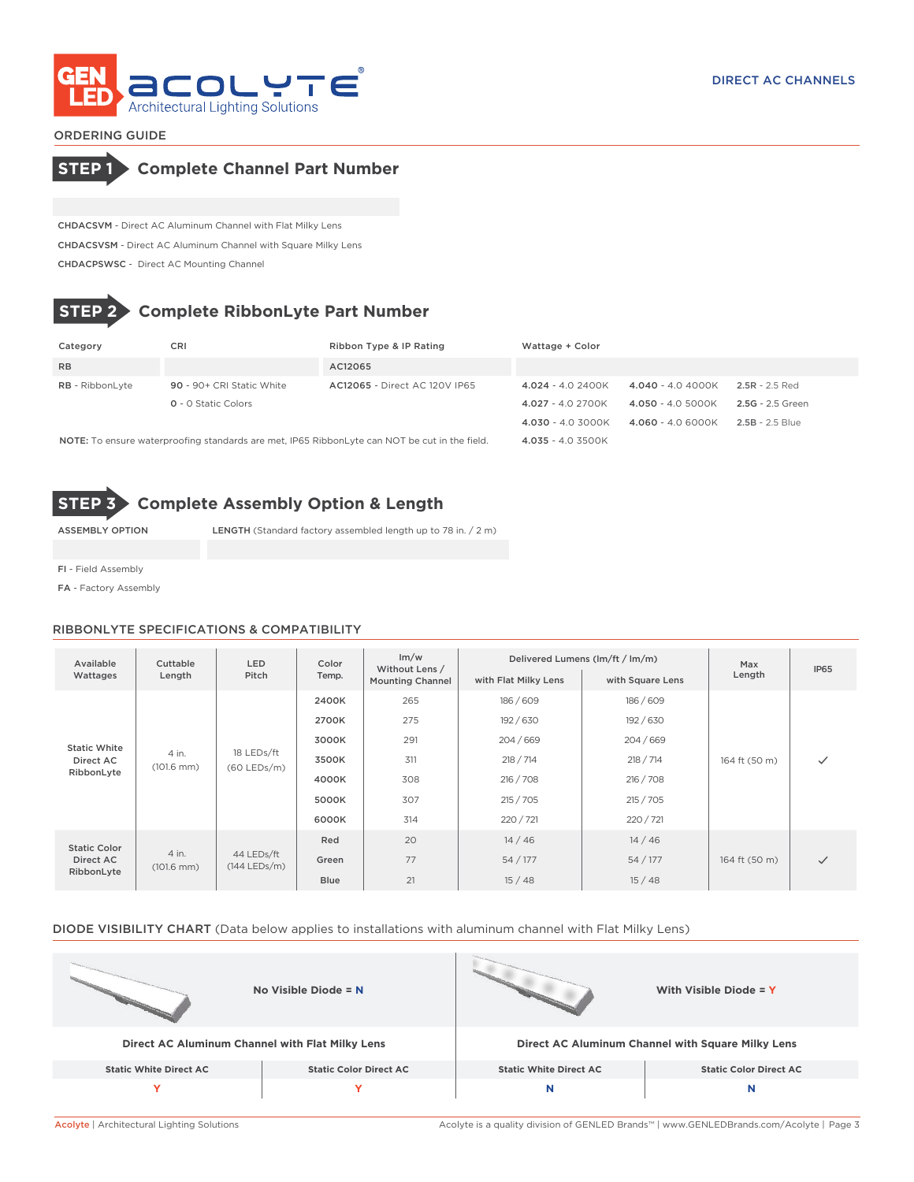

ORDERING GUIDE



CHDACSVM - Direct AC Aluminum Channel with Flat Milky Lens CHDACSVSM - Direct AC Aluminum Channel with Square Milky Lens CHDACPSWSC - Direct AC Mounting Channel

# **STEP 2 Complete RibbonLyte Part Number**

| Category                                                                                             | <b>CRI</b>                 | Ribbon Type & IP Rating              | Wattage + Color    |                    |                   |
|------------------------------------------------------------------------------------------------------|----------------------------|--------------------------------------|--------------------|--------------------|-------------------|
| <b>RB</b>                                                                                            |                            | AC12065                              |                    |                    |                   |
| <b>RB</b> - RibbonLyte                                                                               | 90 - 90+ CRI Static White  | <b>AC12065 - Direct AC 120V IP65</b> | $4.024 - 4.02400K$ | $4.040 - 4.04000K$ | $2.5R - 2.5$ Red  |
|                                                                                                      | <b>Q</b> - O Static Colors |                                      | $4.027 - 4.02700K$ | $4.050 - 4.05000K$ | 2.5G - 2.5 Green  |
|                                                                                                      |                            |                                      | $4.030 - 4.03000K$ | $4.060 - 4.06000K$ | $2.5B - 2.5$ Blue |
| <b>NOTE:</b> To ensure waterproofing standards are met, IP65 RibbonLyte can NOT be cut in the field. |                            |                                      | $4.035 - 4.03500K$ |                    |                   |

**STEP 3 Complete Assembly Option & Length**

ASSEMBLY OPTION LENGTH (Standard factory assembled length up to 78 in. / 2 m)

FI - Field Assembly

FA - Factory Assembly

### RIBBONLYTE SPECIFICATIONS & COMPATIBILITY

| Available<br>Wattages                                                           | Cuttable<br>Length            | <b>LED</b><br>Pitch          | Color<br>Temp. | Im/w<br>Without Lens /<br><b>Mounting Channel</b> | with Flat Milky Lens | Delivered Lumens (lm/ft / lm/m)<br>with Square Lens | Max<br>Length | IP <sub>65</sub> |
|---------------------------------------------------------------------------------|-------------------------------|------------------------------|----------------|---------------------------------------------------|----------------------|-----------------------------------------------------|---------------|------------------|
| <b>Static White</b><br>4 in.<br>Direct AC<br>$(101.6 \text{ mm})$<br>RibbonLyte |                               |                              | 2400K          | 265                                               | 186/609              | 186/609                                             |               |                  |
|                                                                                 |                               |                              | 2700K          | 275                                               | 192 / 630            | 192 / 630                                           |               |                  |
|                                                                                 |                               |                              | 3000K          | 291                                               | 204/669              | 204/669                                             |               |                  |
|                                                                                 |                               | 18 LEDs/ft<br>$(60$ LEDs/m)  | 3500K          | 311                                               | 218 / 714            | 218 / 714                                           | 164 ft (50 m) | $\checkmark$     |
|                                                                                 |                               |                              | 4000K          | 308                                               | 216 / 708            | 216 / 708                                           |               |                  |
|                                                                                 |                               |                              | 5000K          | 307                                               | 215 / 705            | 215 / 705                                           |               |                  |
|                                                                                 |                               |                              | 6000K          | 314                                               | 220 / 721            | 220/721                                             |               |                  |
| <b>Static Color</b><br>Direct AC<br>RibbonLyte                                  | 4 in.<br>$(101.6 \text{ mm})$ | 44 LEDs/ft<br>$(144$ LEDs/m) | Red            | 20                                                | 14/46                | 14/46                                               |               |                  |
|                                                                                 |                               |                              | Green          | 77                                                | 54 / 177             | 54 / 177                                            | 164 ft (50 m) | $\checkmark$     |
|                                                                                 |                               |                              | Blue           | 21                                                | 15/48                | 15/48                                               |               |                  |

# DIODE VISIBILITY CHART (Data below applies to installations with aluminum channel with Flat Milky Lens)

|                                                 | No Visible Diode = $N$        |                                                   | With Visible Diode = Y        |  |
|-------------------------------------------------|-------------------------------|---------------------------------------------------|-------------------------------|--|
| Direct AC Aluminum Channel with Flat Milky Lens |                               | Direct AC Aluminum Channel with Square Milky Lens |                               |  |
| <b>Static White Direct AC</b>                   | <b>Static Color Direct AC</b> | <b>Static White Direct AC</b>                     | <b>Static Color Direct AC</b> |  |
|                                                 | v                             | N                                                 | N                             |  |